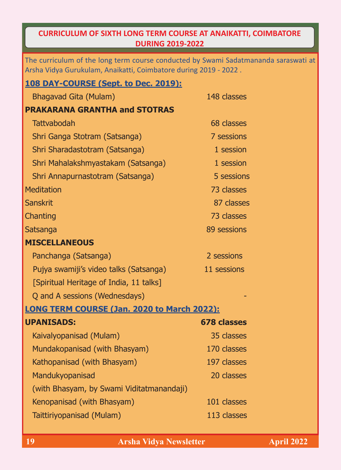## **CURRICULUM OF SIXTH LONG TERM COURSE AT ANAIKATTI, COIMBATORE DURING 2019-2022**

The curriculum of the long term course conducted by Swami Sadatmananda saraswati at Arsha Vidya Gurukulam, Anaikatti, Coimbatore during 2019 - 2022 .

| 108 DAY-COURSE (Sept. to Dec. 2019):        |                    |  |
|---------------------------------------------|--------------------|--|
| <b>Bhagavad Gita (Mulam)</b>                | 148 classes        |  |
| <b>PRAKARANA GRANTHA and STOTRAS</b>        |                    |  |
| <b>Tattvabodah</b>                          | 68 classes         |  |
| Shri Ganga Stotram (Satsanga)               | 7 sessions         |  |
| Shri Sharadastotram (Satsanga)              | 1 session          |  |
| Shri Mahalakshmyastakam (Satsanga)          | 1 session          |  |
| Shri Annapurnastotram (Satsanga)            | 5 sessions         |  |
| <b>Meditation</b>                           | 73 classes         |  |
| <b>Sanskrit</b>                             | 87 classes         |  |
| Chanting                                    | 73 classes         |  |
| Satsanga                                    | 89 sessions        |  |
| <b>MISCELLANEOUS</b>                        |                    |  |
| Panchanga (Satsanga)                        | 2 sessions         |  |
| Pujya swamiji's video talks (Satsanga)      | 11 sessions        |  |
| [Spiritual Heritage of India, 11 talks]     |                    |  |
| Q and A sessions (Wednesdays)               |                    |  |
| LONG TERM COURSE (Jan. 2020 to March 2022): |                    |  |
| <b>UPANISADS:</b>                           | <b>678 classes</b> |  |
| Kaivalyopanisad (Mulam)                     | 35 classes         |  |
| Mundakopanisad (with Bhasyam)               | 170 classes        |  |
| Kathopanisad (with Bhasyam)                 | 197 classes        |  |
| Mandukyopanisad                             | 20 classes         |  |
| (with Bhasyam, by Swami Viditatmanandaji)   |                    |  |
| Kenopanisad (with Bhasyam)                  | 101 classes        |  |
| Taittiriyopanisad (Mulam)                   | 113 classes        |  |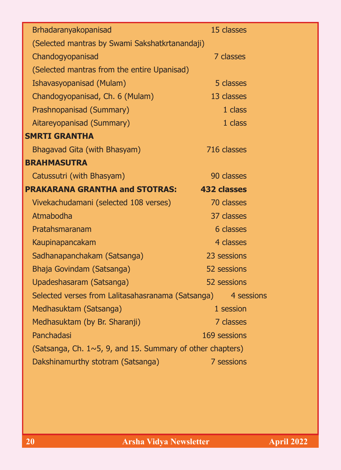| Brhadaranyakopanisad                                              | 15 classes         |  |
|-------------------------------------------------------------------|--------------------|--|
| (Selected mantras by Swami Sakshatkrtanandaji)                    |                    |  |
| Chandogyopanisad                                                  | 7 classes          |  |
| (Selected mantras from the entire Upanisad)                       |                    |  |
| Ishavasyopanisad (Mulam)                                          | 5 classes          |  |
| Chandogyopanisad, Ch. 6 (Mulam)                                   | 13 classes         |  |
| Prashnopanisad (Summary)                                          | 1 class            |  |
| Aitareyopanisad (Summary)                                         | 1 class            |  |
| <b>SMRTI GRANTHA</b>                                              |                    |  |
| Bhagavad Gita (with Bhasyam)                                      | 716 classes        |  |
| <b>BRAHMASUTRA</b>                                                |                    |  |
| Catussutri (with Bhasyam)                                         | 90 classes         |  |
| <b>PRAKARANA GRANTHA and STOTRAS:</b>                             | <b>432 classes</b> |  |
| Vivekachudamani (selected 108 verses)                             | 70 classes         |  |
| Atmabodha                                                         | 37 classes         |  |
| Pratahsmaranam                                                    | 6 classes          |  |
| Kaupinapancakam                                                   | 4 classes          |  |
| Sadhanapanchakam (Satsanga)                                       | 23 sessions        |  |
| Bhaja Govindam (Satsanga)                                         | 52 sessions        |  |
| Upadeshasaram (Satsanga)                                          | 52 sessions        |  |
| Selected verses from Lalitasahasranama (Satsanga) 4 sessions      |                    |  |
| Medhasuktam (Satsanga)                                            | 1 session          |  |
| Medhasuktam (by Br. Sharanji)                                     | 7 classes          |  |
| Panchadasi<br>169 sessions                                        |                    |  |
| (Satsanga, Ch. $1 \sim 5$ , 9, and 15. Summary of other chapters) |                    |  |
| Dakshinamurthy stotram (Satsanga)                                 | 7 sessions         |  |
|                                                                   |                    |  |